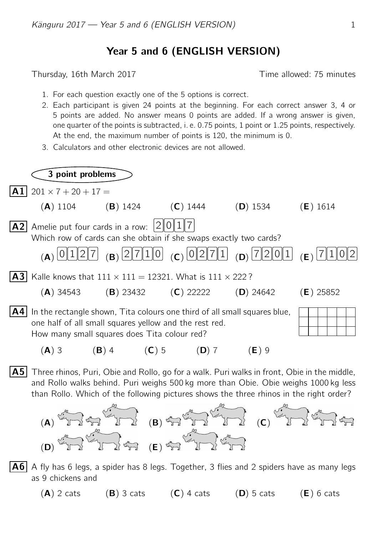## Year 5 and 6 (ENGLISH VERSION)

Thursday, 16th March 2017 Thursday, 16th March 2017

- 1. For each question exactly one of the 5 options is correct.
- 2. Each participant is given 24 points at the beginning. For each correct answer 3, 4 or 5 points are added. No answer means 0 points are added. If a wrong answer is given, one quarter of the points is subtracted, i. e. 0.75 points, 1 point or 1.25 points, respectively. At the end, the maximum number of points is 120, the minimum is 0.
- 3. Calculators and other electronic devices are not allowed.

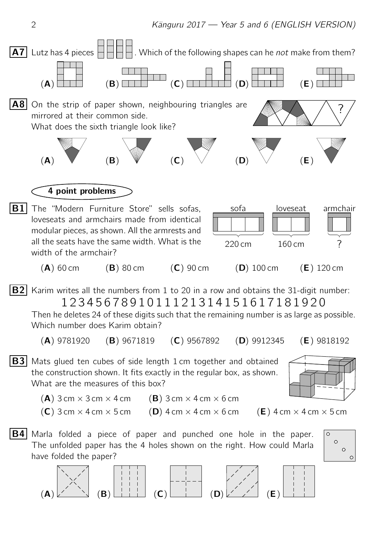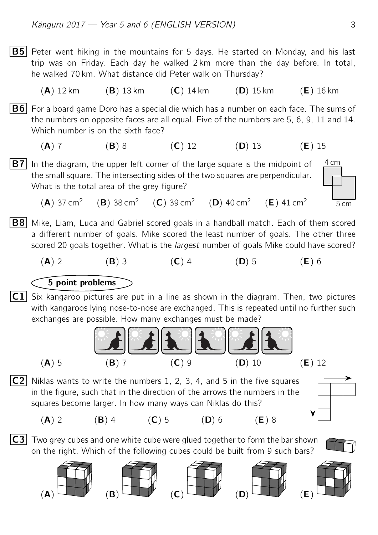**B5** Peter went hiking in the mountains for 5 days. He started on Monday, and his last trip was on Friday. Each day he walked 2 km more than the day before. In total, he walked 70 km. What distance did Peter walk on Thursday?

(A) 12 km (B) 13 km (C) 14 km (D) 15 km (E) 16 km

**B6** For a board game Doro has a special die which has a number on each face. The sums of the numbers on opposite faces are all equal. Five of the numbers are 5, 6, 9, 11 and 14. Which number is on the sixth face?

(A) 7 (B) 8 (C) 12 (D) 13 (E) 15

4 cm **B7** In the diagram, the upper left corner of the large square is the midpoint of the small square. The intersecting sides of the two squares are perpendicular. What is the total area of the grey figure?

 $(A)$  37 cm<sup>2</sup> (B)  $38 \text{ cm}^2$  (C)  $39 \text{ cm}^2$  (D)  $40 \text{ cm}^2$  (E)  $41 \text{ cm}^2$ 

- **B8** Mike, Liam, Luca and Gabriel scored goals in a handball match. Each of them scored a different number of goals. Mike scored the least number of goals. The other three scored 20 goals together. What is the *largest* number of goals Mike could have scored?
	- (A) 2 (B) 3 (C) 4 (D) 5 (E) 6

## 5 point problems

 $|{\sf C}1|$  Six kangaroo pictures are put in a line as shown in the diagram. Then, two pictures with kangaroos lying nose-to-nose are exchanged. This is repeated until no further such exchanges are possible. How many exchanges must be made?

![](_page_2_Figure_11.jpeg)

C2 Niklas wants to write the numbers 1, 2, 3, 4, and 5 in the five squares in the figure, such that in the direction of the arrows the numbers in the squares become larger. In how many ways can Niklas do this?

![](_page_2_Figure_13.jpeg)

 $|C3|$  Two grey cubes and one white cube were glued together to form the bar shown on the right. Which of the following cubes could be built from 9 such bars?

![](_page_2_Picture_16.jpeg)

![](_page_2_Picture_17.jpeg)

![](_page_2_Picture_18.jpeg)

![](_page_2_Picture_19.jpeg)

![](_page_2_Picture_20.jpeg)

5 cm